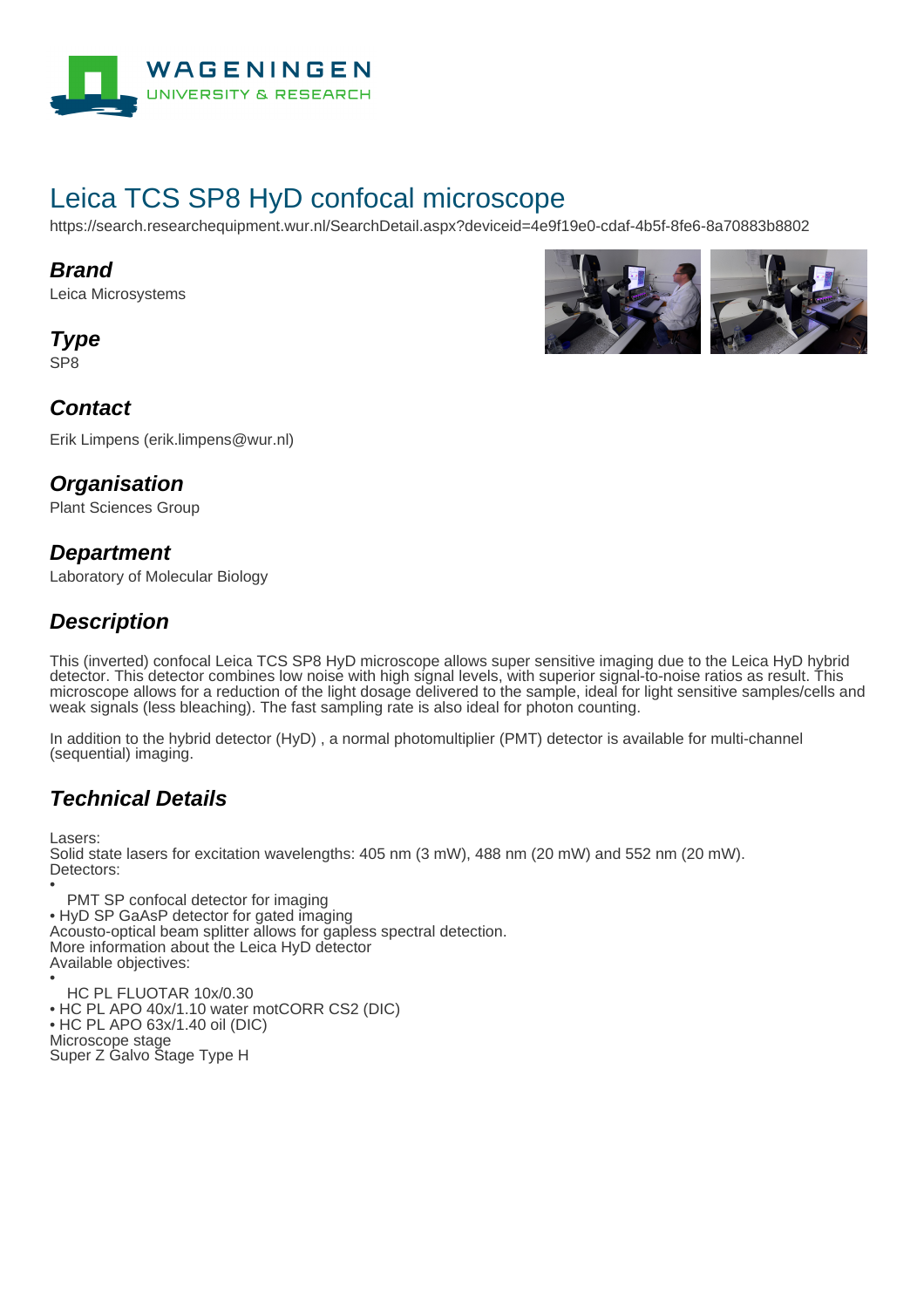

# Leica TCS SP8 HyD confocal microscope

https://search.researchequipment.wur.nl/SearchDetail.aspx?deviceid=4e9f19e0-cdaf-4b5f-8fe6-8a70883b8802

#### **Brand**

Leica Microsystems

**Type**

SP8

#### **Contact**

Erik Limpens (erik.limpens@wur.nl)

#### **Organisation**

Plant Sciences Group

#### **Department**

Laboratory of Molecular Biology

### **Description**

This (inverted) confocal Leica TCS SP8 HyD microscope allows super sensitive imaging due to the Leica HyD hybrid detector. This detector combines low noise with high signal levels, with superior signal-to-noise ratios as result. This microscope allows for a reduction of the light dosage delivered to the sample, ideal for light sensitive samples/cells and weak signals (less bleaching). The fast sampling rate is also ideal for photon counting.

In addition to the hybrid detector (HyD) , a normal photomultiplier (PMT) detector is available for multi-channel (sequential) imaging.

## **Technical Details**

Lasers:

Solid state lasers for excitation wavelengths: 405 nm (3 mW), 488 nm (20 mW) and 552 nm (20 mW). Detectors:

• PMT SP confocal detector for imaging • HyD SP GaAsP detector for gated imaging Acousto-optical beam splitter allows for gapless spectral detection. More information about the Leica HyD detector Available objectives: •

HC PL FLUOTAR 10x/0.30

• HC PL APO 40x/1.10 water motCORR CS2 (DIC) • HC PL APO 63x/1.40 oil (DIC) Microscope stage Super Z Galvo Stage Type H